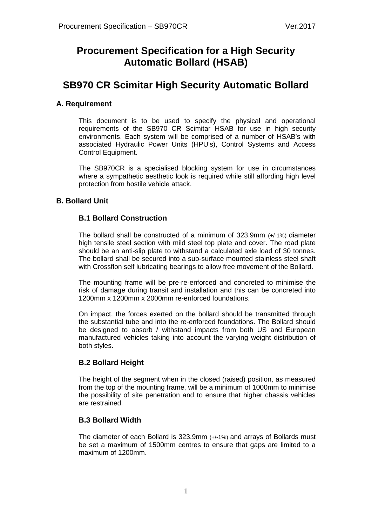# **Procurement Specification for a High Security Automatic Bollard (HSAB)**

# **SB970 CR Scimitar High Security Automatic Bollard**

## **A. Requirement**

This document is to be used to specify the physical and operational requirements of the SB970 CR Scimitar HSAB for use in high security environments. Each system will be comprised of a number of HSAB's with associated Hydraulic Power Units (HPU's), Control Systems and Access Control Equipment.

The SB970CR is a specialised blocking system for use in circumstances where a sympathetic aesthetic look is required while still affording high level protection from hostile vehicle attack.

## **B. Bollard Unit**

## **B.1 Bollard Construction**

The bollard shall be constructed of a minimum of 323.9mm (+/-1%) diameter high tensile steel section with mild steel top plate and cover. The road plate should be an anti-slip plate to withstand a calculated axle load of 30 tonnes. The bollard shall be secured into a sub-surface mounted stainless steel shaft with Crossflon self lubricating bearings to allow free movement of the Bollard.

The mounting frame will be pre-re-enforced and concreted to minimise the risk of damage during transit and installation and this can be concreted into 1200mm x 1200mm x 2000mm re-enforced foundations.

On impact, the forces exerted on the bollard should be transmitted through the substantial tube and into the re-enforced foundations. The Bollard should be designed to absorb / withstand impacts from both US and European manufactured vehicles taking into account the varying weight distribution of both styles.

## **B.2 Bollard Height**

The height of the segment when in the closed (raised) position, as measured from the top of the mounting frame, will be a minimum of 1000mm to minimise the possibility of site penetration and to ensure that higher chassis vehicles are restrained.

## **B.3 Bollard Width**

The diameter of each Bollard is 323.9mm (+/-1%) and arrays of Bollards must be set a maximum of 1500mm centres to ensure that gaps are limited to a maximum of 1200mm.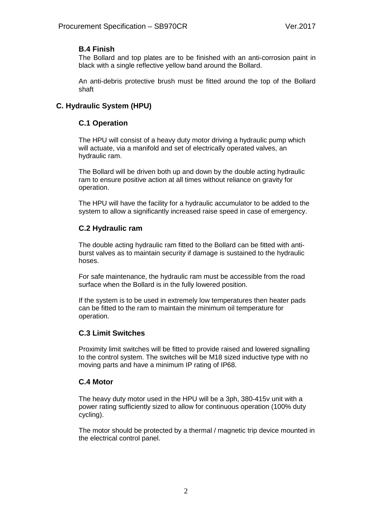## **B.4 Finish**

The Bollard and top plates are to be finished with an anti-corrosion paint in black with a single reflective yellow band around the Bollard.

An anti-debris protective brush must be fitted around the top of the Bollard shaft

## **C. Hydraulic System (HPU)**

## **C.1 Operation**

The HPU will consist of a heavy duty motor driving a hydraulic pump which will actuate, via a manifold and set of electrically operated valves, an hydraulic ram.

The Bollard will be driven both up and down by the double acting hydraulic ram to ensure positive action at all times without reliance on gravity for operation.

The HPU will have the facility for a hydraulic accumulator to be added to the system to allow a significantly increased raise speed in case of emergency.

## **C.2 Hydraulic ram**

The double acting hydraulic ram fitted to the Bollard can be fitted with antiburst valves as to maintain security if damage is sustained to the hydraulic hoses.

For safe maintenance, the hydraulic ram must be accessible from the road surface when the Bollard is in the fully lowered position.

If the system is to be used in extremely low temperatures then heater pads can be fitted to the ram to maintain the minimum oil temperature for operation.

## **C.3 Limit Switches**

Proximity limit switches will be fitted to provide raised and lowered signalling to the control system. The switches will be M18 sized inductive type with no moving parts and have a minimum IP rating of IP68.

## **C.4 Motor**

The heavy duty motor used in the HPU will be a 3ph, 380-415v unit with a power rating sufficiently sized to allow for continuous operation (100% duty cycling).

The motor should be protected by a thermal / magnetic trip device mounted in the electrical control panel.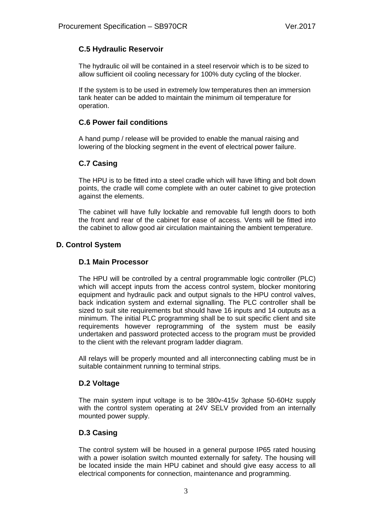## **C.5 Hydraulic Reservoir**

The hydraulic oil will be contained in a steel reservoir which is to be sized to allow sufficient oil cooling necessary for 100% duty cycling of the blocker.

If the system is to be used in extremely low temperatures then an immersion tank heater can be added to maintain the minimum oil temperature for operation.

#### **C.6 Power fail conditions**

A hand pump / release will be provided to enable the manual raising and lowering of the blocking segment in the event of electrical power failure.

## **C.7 Casing**

The HPU is to be fitted into a steel cradle which will have lifting and bolt down points, the cradle will come complete with an outer cabinet to give protection against the elements.

The cabinet will have fully lockable and removable full length doors to both the front and rear of the cabinet for ease of access. Vents will be fitted into the cabinet to allow good air circulation maintaining the ambient temperature.

## **D. Control System**

#### **D.1 Main Processor**

The HPU will be controlled by a central programmable logic controller (PLC) which will accept inputs from the access control system, blocker monitoring equipment and hydraulic pack and output signals to the HPU control valves, back indication system and external signalling. The PLC controller shall be sized to suit site requirements but should have 16 inputs and 14 outputs as a minimum. The initial PLC programming shall be to suit specific client and site requirements however reprogramming of the system must be easily undertaken and password protected access to the program must be provided to the client with the relevant program ladder diagram.

All relays will be properly mounted and all interconnecting cabling must be in suitable containment running to terminal strips.

#### **D.2 Voltage**

The main system input voltage is to be 380v-415v 3phase 50-60Hz supply with the control system operating at 24V SELV provided from an internally mounted power supply.

#### **D.3 Casing**

The control system will be housed in a general purpose IP65 rated housing with a power isolation switch mounted externally for safety. The housing will be located inside the main HPU cabinet and should give easy access to all electrical components for connection, maintenance and programming.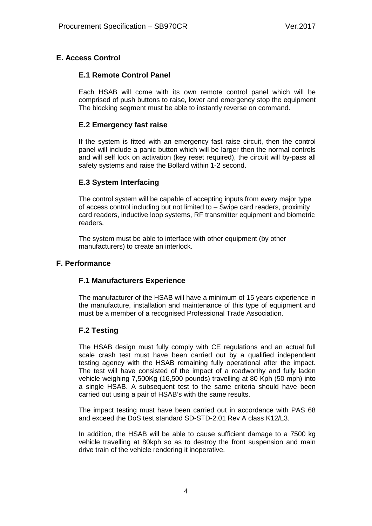## **E. Access Control**

#### **E.1 Remote Control Panel**

Each HSAB will come with its own remote control panel which will be comprised of push buttons to raise, lower and emergency stop the equipment The blocking segment must be able to instantly reverse on command.

#### **E.2 Emergency fast raise**

If the system is fitted with an emergency fast raise circuit, then the control panel will include a panic button which will be larger then the normal controls and will self lock on activation (key reset required), the circuit will by-pass all safety systems and raise the Bollard within 1-2 second.

#### **E.3 System Interfacing**

The control system will be capable of accepting inputs from every major type of access control including but not limited to – Swipe card readers, proximity card readers, inductive loop systems, RF transmitter equipment and biometric readers.

The system must be able to interface with other equipment (by other manufacturers) to create an interlock.

#### **F. Performance**

#### **F.1 Manufacturers Experience**

The manufacturer of the HSAB will have a minimum of 15 years experience in the manufacture, installation and maintenance of this type of equipment and must be a member of a recognised Professional Trade Association.

#### **F.2 Testing**

The HSAB design must fully comply with CE regulations and an actual full scale crash test must have been carried out by a qualified independent testing agency with the HSAB remaining fully operational after the impact. The test will have consisted of the impact of a roadworthy and fully laden vehicle weighing 7,500Kg (16,500 pounds) travelling at 80 Kph (50 mph) into a single HSAB. A subsequent test to the same criteria should have been carried out using a pair of HSAB's with the same results.

The impact testing must have been carried out in accordance with PAS 68 and exceed the DoS test standard SD-STD-2.01 Rev A class K12/L3.

In addition, the HSAB will be able to cause sufficient damage to a 7500 kg vehicle travelling at 80kph so as to destroy the front suspension and main drive train of the vehicle rendering it inoperative.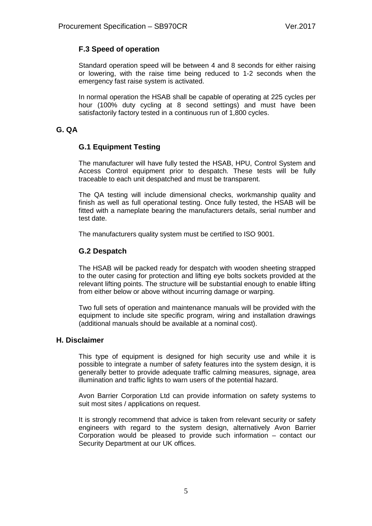## **F.3 Speed of operation**

Standard operation speed will be between 4 and 8 seconds for either raising or lowering, with the raise time being reduced to 1-2 seconds when the emergency fast raise system is activated.

In normal operation the HSAB shall be capable of operating at 225 cycles per hour (100% duty cycling at 8 second settings) and must have been satisfactorily factory tested in a continuous run of 1,800 cycles.

## **G. QA**

## **G.1 Equipment Testing**

The manufacturer will have fully tested the HSAB, HPU, Control System and Access Control equipment prior to despatch. These tests will be fully traceable to each unit despatched and must be transparent.

The QA testing will include dimensional checks, workmanship quality and finish as well as full operational testing. Once fully tested, the HSAB will be fitted with a nameplate bearing the manufacturers details, serial number and test date.

The manufacturers quality system must be certified to ISO 9001.

## **G.2 Despatch**

The HSAB will be packed ready for despatch with wooden sheeting strapped to the outer casing for protection and lifting eye bolts sockets provided at the relevant lifting points. The structure will be substantial enough to enable lifting from either below or above without incurring damage or warping.

Two full sets of operation and maintenance manuals will be provided with the equipment to include site specific program, wiring and installation drawings (additional manuals should be available at a nominal cost).

#### **H. Disclaimer**

This type of equipment is designed for high security use and while it is possible to integrate a number of safety features into the system design, it is generally better to provide adequate traffic calming measures, signage, area illumination and traffic lights to warn users of the potential hazard.

Avon Barrier Corporation Ltd can provide information on safety systems to suit most sites / applications on request.

It is strongly recommend that advice is taken from relevant security or safety engineers with regard to the system design, alternatively Avon Barrier Corporation would be pleased to provide such information – contact our Security Department at our UK offices.